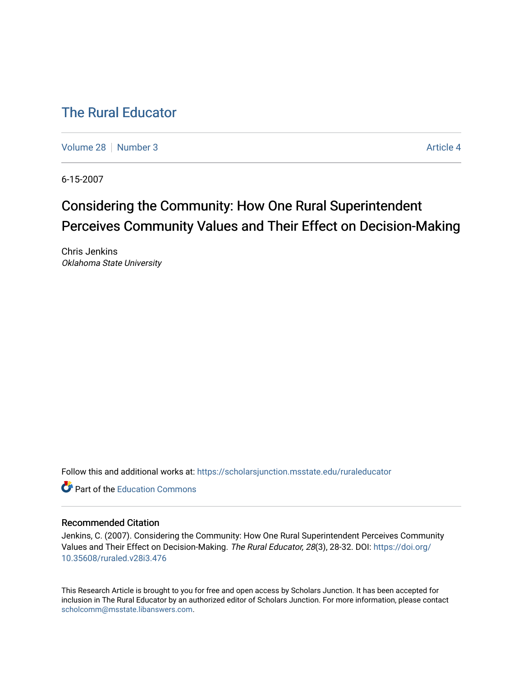## [The Rural Educator](https://scholarsjunction.msstate.edu/ruraleducator)

[Volume 28](https://scholarsjunction.msstate.edu/ruraleducator/vol28) [Number 3](https://scholarsjunction.msstate.edu/ruraleducator/vol28/iss3) Article 4

6-15-2007

# Considering the Community: How One Rural Superintendent Perceives Community Values and Their Effect on Decision-Making

Chris Jenkins Oklahoma State University

Follow this and additional works at: [https://scholarsjunction.msstate.edu/ruraleducator](https://scholarsjunction.msstate.edu/ruraleducator?utm_source=scholarsjunction.msstate.edu%2Fruraleducator%2Fvol28%2Fiss3%2F4&utm_medium=PDF&utm_campaign=PDFCoverPages)

**C** Part of the [Education Commons](http://network.bepress.com/hgg/discipline/784?utm_source=scholarsjunction.msstate.edu%2Fruraleducator%2Fvol28%2Fiss3%2F4&utm_medium=PDF&utm_campaign=PDFCoverPages)

#### Recommended Citation

Jenkins, C. (2007). Considering the Community: How One Rural Superintendent Perceives Community Values and Their Effect on Decision-Making. The Rural Educator, 28(3), 28-32. DOI: [https://doi.org/](https://doi.org/10.35608/ruraled.v28i3.476) [10.35608/ruraled.v28i3.476](https://doi.org/10.35608/ruraled.v28i3.476)

This Research Article is brought to you for free and open access by Scholars Junction. It has been accepted for inclusion in The Rural Educator by an authorized editor of Scholars Junction. For more information, please contact [scholcomm@msstate.libanswers.com.](mailto:scholcomm@msstate.libanswers.com)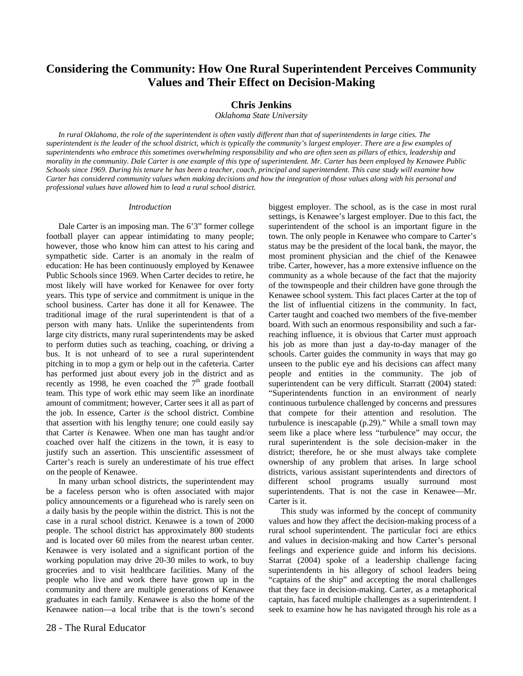### **Considering the Community: How One Rural Superintendent Perceives Community Values and Their Effect on Decision-Making**

#### **Chris Jenkins**

*Oklahoma State University* 

*In rural Oklahoma, the role of the superintendent is often vastly different than that of superintendents in large cities. The superintendent is the leader of the school district, which is typically the community's largest employer. There are a few examples of superintendents who embrace this sometimes overwhelming responsibility and who are often seen as pillars of ethics, leadership and morality in the community. Dale Carter is one example of this type of superintendent. Mr. Carter has been employed by Kenawee Public Schools since 1969. During his tenure he has been a teacher, coach, principal and superintendent. This case study will examine how Carter has considered community values when making decisions and how the integration of those values along with his personal and professional values have allowed him to lead a rural school district.* 

#### *Introduction*

Dale Carter is an imposing man. The 6'3" former college football player can appear intimidating to many people; however, those who know him can attest to his caring and sympathetic side. Carter is an anomaly in the realm of education: He has been continuously employed by Kenawee Public Schools since 1969. When Carter decides to retire, he most likely will have worked for Kenawee for over forty years. This type of service and commitment is unique in the school business. Carter has done it all for Kenawee. The traditional image of the rural superintendent is that of a person with many hats. Unlike the superintendents from large city districts, many rural superintendents may be asked to perform duties such as teaching, coaching, or driving a bus. It is not unheard of to see a rural superintendent pitching in to mop a gym or help out in the cafeteria. Carter has performed just about every job in the district and as recently as 1998, he even coached the  $7<sup>th</sup>$  grade football team. This type of work ethic may seem like an inordinate amount of commitment; however, Carter sees it all as part of the job. In essence, Carter *is* the school district. Combine that assertion with his lengthy tenure; one could easily say that Carter *is* Kenawee. When one man has taught and/or coached over half the citizens in the town, it is easy to justify such an assertion. This unscientific assessment of Carter's reach is surely an underestimate of his true effect on the people of Kenawee.

In many urban school districts, the superintendent may be a faceless person who is often associated with major policy announcements or a figurehead who is rarely seen on a daily basis by the people within the district. This is not the case in a rural school district. Kenawee is a town of 2000 people. The school district has approximately 800 students and is located over 60 miles from the nearest urban center. Kenawee is very isolated and a significant portion of the working population may drive 20-30 miles to work, to buy groceries and to visit healthcare facilities. Many of the people who live and work there have grown up in the community and there are multiple generations of Kenawee graduates in each family. Kenawee is also the home of the Kenawee nation—a local tribe that is the town's second biggest employer. The school, as is the case in most rural settings, is Kenawee's largest employer. Due to this fact, the superintendent of the school is an important figure in the town. The only people in Kenawee who compare to Carter's status may be the president of the local bank, the mayor, the most prominent physician and the chief of the Kenawee tribe. Carter, however, has a more extensive influence on the community as a whole because of the fact that the majority of the townspeople and their children have gone through the Kenawee school system. This fact places Carter at the top of the list of influential citizens in the community. In fact, Carter taught and coached two members of the five-member board. With such an enormous responsibility and such a farreaching influence, it is obvious that Carter must approach his job as more than just a day-to-day manager of the schools. Carter guides the community in ways that may go unseen to the public eye and his decisions can affect many people and entities in the community. The job of superintendent can be very difficult. Starratt (2004) stated: "Superintendents function in an environment of nearly continuous turbulence challenged by concerns and pressures that compete for their attention and resolution. The turbulence is inescapable (p.29)." While a small town may seem like a place where less "turbulence" may occur, the rural superintendent is the sole decision-maker in the district; therefore, he or she must always take complete ownership of any problem that arises. In large school districts, various assistant superintendents and directors of different school programs usually surround most superintendents. That is not the case in Kenawee—Mr. Carter is it.

This study was informed by the concept of community values and how they affect the decision-making process of a rural school superintendent. The particular foci are ethics and values in decision-making and how Carter's personal feelings and experience guide and inform his decisions. Starrat (2004) spoke of a leadership challenge facing superintendents in his allegory of school leaders being "captains of the ship" and accepting the moral challenges that they face in decision-making. Carter, as a metaphorical captain, has faced multiple challenges as a superintendent. I seek to examine how he has navigated through his role as a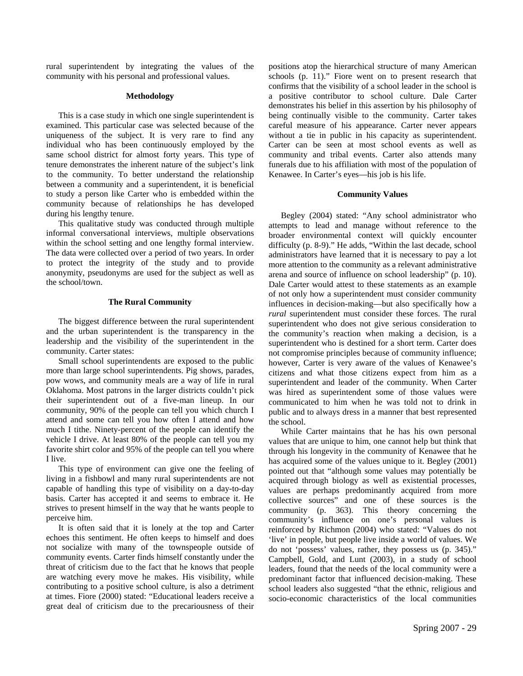rural superintendent by integrating the values of the community with his personal and professional values.

#### **Methodology**

This is a case study in which one single superintendent is examined. This particular case was selected because of the uniqueness of the subject. It is very rare to find any individual who has been continuously employed by the same school district for almost forty years. This type of tenure demonstrates the inherent nature of the subject's link to the community. To better understand the relationship between a community and a superintendent, it is beneficial to study a person like Carter who is embedded within the community because of relationships he has developed during his lengthy tenure.

This qualitative study was conducted through multiple informal conversational interviews, multiple observations within the school setting and one lengthy formal interview. The data were collected over a period of two years. In order to protect the integrity of the study and to provide anonymity, pseudonyms are used for the subject as well as the school/town.

#### **The Rural Community**

The biggest difference between the rural superintendent and the urban superintendent is the transparency in the leadership and the visibility of the superintendent in the community. Carter states:

Small school superintendents are exposed to the public more than large school superintendents. Pig shows, parades, pow wows, and community meals are a way of life in rural Oklahoma. Most patrons in the larger districts couldn't pick their superintendent out of a five-man lineup. In our community, 90% of the people can tell you which church I attend and some can tell you how often I attend and how much I tithe. Ninety-percent of the people can identify the vehicle I drive. At least 80% of the people can tell you my favorite shirt color and 95% of the people can tell you where I live.

This type of environment can give one the feeling of living in a fishbowl and many rural superintendents are not capable of handling this type of visibility on a day-to-day basis. Carter has accepted it and seems to embrace it. He strives to present himself in the way that he wants people to perceive him.

It is often said that it is lonely at the top and Carter echoes this sentiment. He often keeps to himself and does not socialize with many of the townspeople outside of community events. Carter finds himself constantly under the threat of criticism due to the fact that he knows that people are watching every move he makes. His visibility, while contributing to a positive school culture, is also a detriment at times. Fiore (2000) stated: "Educational leaders receive a great deal of criticism due to the precariousness of their positions atop the hierarchical structure of many American schools (p. 11)." Fiore went on to present research that confirms that the visibility of a school leader in the school is a positive contributor to school culture. Dale Carter demonstrates his belief in this assertion by his philosophy of being continually visible to the community. Carter takes careful measure of his appearance. Carter never appears without a tie in public in his capacity as superintendent. Carter can be seen at most school events as well as community and tribal events. Carter also attends many funerals due to his affiliation with most of the population of Kenawee. In Carter's eyes—his job is his life.

#### **Community Values**

Begley (2004) stated: "Any school administrator who attempts to lead and manage without reference to the broader environmental context will quickly encounter difficulty (p. 8-9)." He adds, "Within the last decade, school administrators have learned that it is necessary to pay a lot more attention to the community as a relevant administrative arena and source of influence on school leadership" (p. 10). Dale Carter would attest to these statements as an example of not only how a superintendent must consider community influences in decision-making—but also specifically how a *rural* superintendent must consider these forces. The rural superintendent who does not give serious consideration to the community's reaction when making a decision, is a superintendent who is destined for a short term. Carter does not compromise principles because of community influence; however, Carter is very aware of the values of Kenawee's citizens and what those citizens expect from him as a superintendent and leader of the community. When Carter was hired as superintendent some of those values were communicated to him when he was told not to drink in public and to always dress in a manner that best represented the school.

While Carter maintains that he has his own personal values that are unique to him, one cannot help but think that through his longevity in the community of Kenawee that he has acquired some of the values unique to it. Begley (2001) pointed out that "although some values may potentially be acquired through biology as well as existential processes, values are perhaps predominantly acquired from more collective sources" and one of these sources is the community (p. 363). This theory concerning the community's influence on one's personal values is reinforced by Richmon (2004) who stated: "Values do not 'live' in people, but people live inside a world of values. We do not 'possess' values, rather, they possess us (p. 345)." Campbell, Gold, and Lunt (2003), in a study of school leaders, found that the needs of the local community were a predominant factor that influenced decision-making. These school leaders also suggested "that the ethnic, religious and socio-economic characteristics of the local communities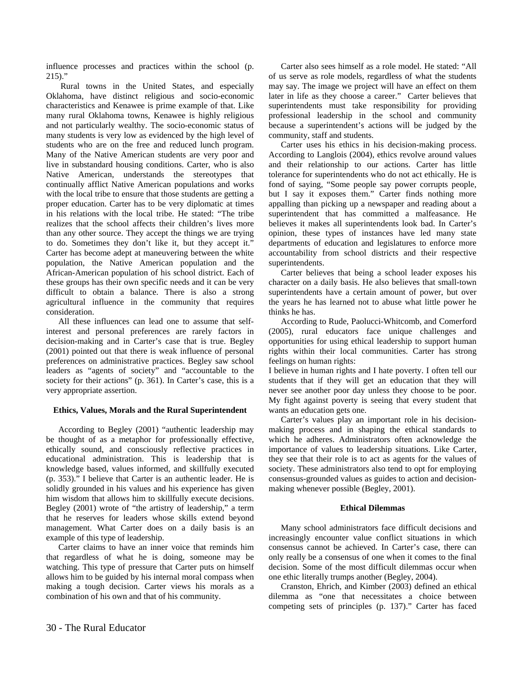influence processes and practices within the school (p.  $215$ )."

 Rural towns in the United States, and especially Oklahoma, have distinct religious and socio-economic characteristics and Kenawee is prime example of that. Like many rural Oklahoma towns, Kenawee is highly religious and not particularly wealthy. The socio-economic status of many students is very low as evidenced by the high level of students who are on the free and reduced lunch program. Many of the Native American students are very poor and live in substandard housing conditions. Carter, who is also Native American, understands the stereotypes that continually afflict Native American populations and works with the local tribe to ensure that those students are getting a proper education. Carter has to be very diplomatic at times in his relations with the local tribe. He stated: "The tribe realizes that the school affects their children's lives more than any other source. They accept the things we are trying to do. Sometimes they don't like it, but they accept it." Carter has become adept at maneuvering between the white population, the Native American population and the African-American population of his school district. Each of these groups has their own specific needs and it can be very difficult to obtain a balance. There is also a strong agricultural influence in the community that requires consideration.

All these influences can lead one to assume that selfinterest and personal preferences are rarely factors in decision-making and in Carter's case that is true. Begley (2001) pointed out that there is weak influence of personal preferences on administrative practices. Begley saw school leaders as "agents of society" and "accountable to the society for their actions" (p. 361). In Carter's case, this is a very appropriate assertion.

#### **Ethics, Values, Morals and the Rural Superintendent**

According to Begley (2001) "authentic leadership may be thought of as a metaphor for professionally effective, ethically sound, and consciously reflective practices in educational administration. This is leadership that is knowledge based, values informed, and skillfully executed (p. 353)." I believe that Carter is an authentic leader. He is solidly grounded in his values and his experience has given him wisdom that allows him to skillfully execute decisions. Begley (2001) wrote of "the artistry of leadership," a term that he reserves for leaders whose skills extend beyond management. What Carter does on a daily basis is an example of this type of leadership.

Carter claims to have an inner voice that reminds him that regardless of what he is doing, someone may be watching. This type of pressure that Carter puts on himself allows him to be guided by his internal moral compass when making a tough decision. Carter views his morals as a combination of his own and that of his community.

Carter also sees himself as a role model. He stated: "All of us serve as role models, regardless of what the students may say. The image we project will have an effect on them later in life as they choose a career." Carter believes that superintendents must take responsibility for providing professional leadership in the school and community because a superintendent's actions will be judged by the community, staff and students.

Carter uses his ethics in his decision-making process. According to Langlois (2004), ethics revolve around values and their relationship to our actions. Carter has little tolerance for superintendents who do not act ethically. He is fond of saying, "Some people say power corrupts people, but I say it exposes them." Carter finds nothing more appalling than picking up a newspaper and reading about a superintendent that has committed a malfeasance. He believes it makes all superintendents look bad. In Carter's opinion, these types of instances have led many state departments of education and legislatures to enforce more accountability from school districts and their respective superintendents.

Carter believes that being a school leader exposes his character on a daily basis. He also believes that small-town superintendents have a certain amount of power, but over the years he has learned not to abuse what little power he thinks he has.

According to Rude, Paolucci-Whitcomb, and Comerford (2005), rural educators face unique challenges and opportunities for using ethical leadership to support human rights within their local communities. Carter has strong feelings on human rights:

I believe in human rights and I hate poverty. I often tell our students that if they will get an education that they will never see another poor day unless they choose to be poor. My fight against poverty is seeing that every student that wants an education gets one.

Carter's values play an important role in his decisionmaking process and in shaping the ethical standards to which he adheres. Administrators often acknowledge the importance of values to leadership situations. Like Carter, they see that their role is to act as agents for the values of society. These administrators also tend to opt for employing consensus-grounded values as guides to action and decisionmaking whenever possible (Begley, 2001).

#### **Ethical Dilemmas**

Many school administrators face difficult decisions and increasingly encounter value conflict situations in which consensus cannot be achieved. In Carter's case, there can only really be a consensus of one when it comes to the final decision. Some of the most difficult dilemmas occur when one ethic literally trumps another (Begley, 2004).

Cranston, Ehrich, and Kimber (2003) defined an ethical dilemma as "one that necessitates a choice between competing sets of principles (p. 137)." Carter has faced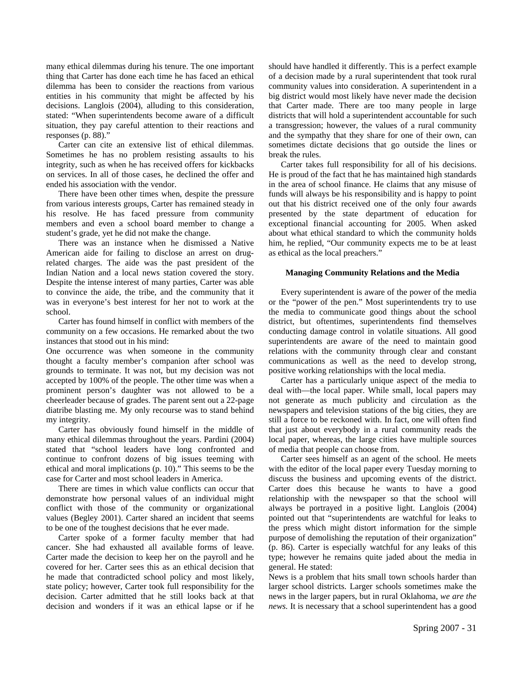many ethical dilemmas during his tenure. The one important thing that Carter has done each time he has faced an ethical dilemma has been to consider the reactions from various entities in his community that might be affected by his decisions. Langlois (2004), alluding to this consideration, stated: "When superintendents become aware of a difficult situation, they pay careful attention to their reactions and responses (p. 88)."

Carter can cite an extensive list of ethical dilemmas. Sometimes he has no problem resisting assaults to his integrity, such as when he has received offers for kickbacks on services. In all of those cases, he declined the offer and ended his association with the vendor.

There have been other times when, despite the pressure from various interests groups, Carter has remained steady in his resolve. He has faced pressure from community members and even a school board member to change a student's grade, yet he did not make the change.

There was an instance when he dismissed a Native American aide for failing to disclose an arrest on drugrelated charges. The aide was the past president of the Indian Nation and a local news station covered the story. Despite the intense interest of many parties, Carter was able to convince the aide, the tribe, and the community that it was in everyone's best interest for her not to work at the school.

Carter has found himself in conflict with members of the community on a few occasions. He remarked about the two instances that stood out in his mind:

One occurrence was when someone in the community thought a faculty member's companion after school was grounds to terminate. It was not, but my decision was not accepted by 100% of the people. The other time was when a prominent person's daughter was not allowed to be a cheerleader because of grades. The parent sent out a 22-page diatribe blasting me. My only recourse was to stand behind my integrity.

Carter has obviously found himself in the middle of many ethical dilemmas throughout the years. Pardini (2004) stated that "school leaders have long confronted and continue to confront dozens of big issues teeming with ethical and moral implications (p. 10)." This seems to be the case for Carter and most school leaders in America.

There are times in which value conflicts can occur that demonstrate how personal values of an individual might conflict with those of the community or organizational values (Begley 2001). Carter shared an incident that seems to be one of the toughest decisions that he ever made.

Carter spoke of a former faculty member that had cancer. She had exhausted all available forms of leave. Carter made the decision to keep her on the payroll and he covered for her. Carter sees this as an ethical decision that he made that contradicted school policy and most likely, state policy; however, Carter took full responsibility for the decision. Carter admitted that he still looks back at that decision and wonders if it was an ethical lapse or if he

should have handled it differently. This is a perfect example of a decision made by a rural superintendent that took rural community values into consideration. A superintendent in a big district would most likely have never made the decision that Carter made. There are too many people in large districts that will hold a superintendent accountable for such a transgression; however, the values of a rural community and the sympathy that they share for one of their own, can sometimes dictate decisions that go outside the lines or break the rules.

Carter takes full responsibility for all of his decisions. He is proud of the fact that he has maintained high standards in the area of school finance. He claims that any misuse of funds will always be his responsibility and is happy to point out that his district received one of the only four awards presented by the state department of education for exceptional financial accounting for 2005. When asked about what ethical standard to which the community holds him, he replied, "Our community expects me to be at least as ethical as the local preachers."

#### **Managing Community Relations and the Media**

Every superintendent is aware of the power of the media or the "power of the pen." Most superintendents try to use the media to communicate good things about the school district, but oftentimes, superintendents find themselves conducting damage control in volatile situations. All good superintendents are aware of the need to maintain good relations with the community through clear and constant communications as well as the need to develop strong, positive working relationships with the local media.

Carter has a particularly unique aspect of the media to deal with—the local paper. While small, local papers may not generate as much publicity and circulation as the newspapers and television stations of the big cities, they are still a force to be reckoned with. In fact, one will often find that just about everybody in a rural community reads the local paper, whereas, the large cities have multiple sources of media that people can choose from.

Carter sees himself as an agent of the school. He meets with the editor of the local paper every Tuesday morning to discuss the business and upcoming events of the district. Carter does this because he wants to have a good relationship with the newspaper so that the school will always be portrayed in a positive light. Langlois (2004) pointed out that "superintendents are watchful for leaks to the press which might distort information for the simple purpose of demolishing the reputation of their organization" (p. 86). Carter is especially watchful for any leaks of this type; however he remains quite jaded about the media in general. He stated:

News is a problem that hits small town schools harder than larger school districts. Larger schools sometimes make the news in the larger papers, but in rural Oklahoma, *we are the news.* It is necessary that a school superintendent has a good